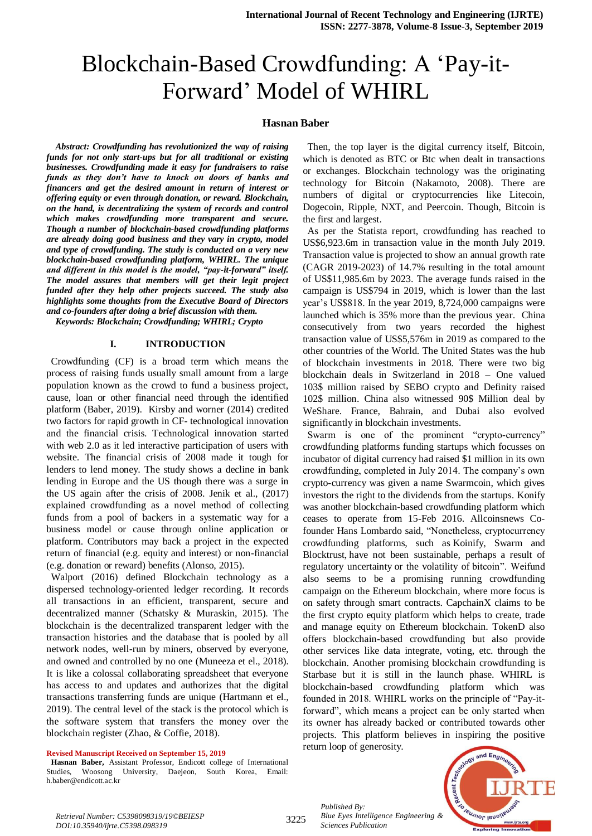# Blockchain-Based Crowdfunding: A 'Pay-it-Forward' Model of WHIRL

#### **Hasnan Baber**

*Abstract: Crowdfunding has revolutionized the way of raising funds for not only start-ups but for all traditional or existing businesses. Crowdfunding made it easy for fundraisers to raise funds as they don't have to knock on doors of banks and financers and get the desired amount in return of interest or offering equity or even through donation, or reward. Blockchain, on the hand, is decentralizing the system of records and control which makes crowdfunding more transparent and secure. Though a number of blockchain-based crowdfunding platforms are already doing good business and they vary in crypto, model and type of crowdfunding. The study is conducted on a very new blockchain-based crowdfunding platform, WHIRL. The unique and different in this model is the model, "pay-it-forward" itself. The model assures that members will get their legit project funded after they help other projects succeed. The study also highlights some thoughts from the Executive Board of Directors and co-founders after doing a brief discussion with them.* 

*Keywords: Blockchain; Crowdfunding; WHIRL; Crypto*

#### **I. INTRODUCTION**

Crowdfunding (CF) is a broad term which means the process of raising funds usually small amount from a large population known as the crowd to fund a business project, cause, loan or other financial need through the identified platform (Baber, 2019). Kirsby and worner (2014) credited two factors for rapid growth in CF- technological innovation and the financial crisis. Technological innovation started with web 2.0 as it led interactive participation of users with website. The financial crisis of 2008 made it tough for lenders to lend money. The study shows a decline in bank lending in Europe and the US though there was a surge in the US again after the crisis of 2008. Jenik et al., (2017) explained crowdfunding as a novel method of collecting funds from a pool of backers in a systematic way for a business model or cause through online application or platform. Contributors may back a project in the expected return of financial (e.g. equity and interest) or non-financial (e.g. donation or reward) benefits (Alonso, 2015).

Walport (2016) defined Blockchain technology as a dispersed technology-oriented ledger recording. It records all transactions in an efficient, transparent, secure and decentralized manner (Schatsky & Muraskin, 2015). The blockchain is the decentralized transparent ledger with the transaction histories and the database that is pooled by all network nodes, well-run by miners, observed by everyone, and owned and controlled by no one (Muneeza et el., 2018). It is like a colossal collaborating spreadsheet that everyone has access to and updates and authorizes that the digital transactions transferring funds are unique (Hartmann et el., 2019). The central level of the stack is the protocol which is the software system that transfers the money over the blockchain register (Zhao, & Coffie, 2018).

#### **Revised Manuscript Received on September 15, 2019**

**Hasnan Baber,** Assistant Professor, Endicott college of International Studies, Woosong University, Daejeon, South Korea, Email: h.baber@endicott.ac.kr

Then, the top layer is the digital currency itself, Bitcoin, which is denoted as BTC or Btc when dealt in transactions or exchanges. Blockchain technology was the originating technology for Bitcoin (Nakamoto, 2008). There are numbers of digital or cryptocurrencies like Litecoin, Dogecoin, Ripple, NXT, and Peercoin. Though, Bitcoin is the first and largest.

As per the Statista report, crowdfunding has reached to US\$6,923.6m in transaction value in the month July 2019. Transaction value is projected to show an annual growth rate (CAGR 2019-2023) of 14.7% resulting in the total amount of US\$11,985.6m by 2023. The average funds raised in the campaign is US\$794 in 2019, which is lower than the last year's US\$818. In the year 2019, 8,724,000 campaigns were launched which is 35% more than the previous year. China consecutively from two years recorded the highest transaction value of US\$5,576m in 2019 as compared to the other countries of the World. The United States was the hub of blockchain investments in 2018. There were two big blockchain deals in Switzerland in 2018 – One valued 103\$ million raised by SEBO crypto and Definity raised 102\$ million. China also witnessed 90\$ Million deal by WeShare. France, Bahrain, and Dubai also evolved significantly in blockchain investments.

Swarm is one of the prominent "crypto-currency" crowdfunding platforms funding startups which focusses on incubator of digital currency had raised \$1 million in its own crowdfunding, completed in July 2014. The company's own crypto-currency was given a name Swarmcoin, which gives investors the right to the dividends from the startups. Konify was another blockchain-based crowdfunding platform which ceases to operate from 15-Feb 2016. Allcoinsnews Cofounder Hans Lombardo said, "Nonetheless, cryptocurrency crowdfunding platforms, such as Koinify, Swarm and Blocktrust, have not been sustainable, perhaps a result of regulatory uncertainty or the volatility of bitcoin". Weifund also seems to be a promising running crowdfunding campaign on the Ethereum blockchain, where more focus is on safety through smart contracts. CapchainX claims to be the first crypto equity platform which helps to create, trade and manage equity on Ethereum blockchain. TokenD also offers blockchain-based crowdfunding but also provide other services like data integrate, voting, etc. through the blockchain. Another promising blockchain crowdfunding is Starbase but it is still in the launch phase. WHIRL is blockchain-based crowdfunding platform which was founded in 2018. WHIRL works on the principle of "Pay-itforward", which means a project can be only started when its owner has already backed or contributed towards other projects. This platform believes in inspiring the positive return loop of generosity.



*Retrieval Number: C5398098319/19©BEIESP DOI:10.35940/ijrte.C5398.098319*

*Published By:*

*Sciences Publication* 

*Blue Eyes Intelligence Engineering &*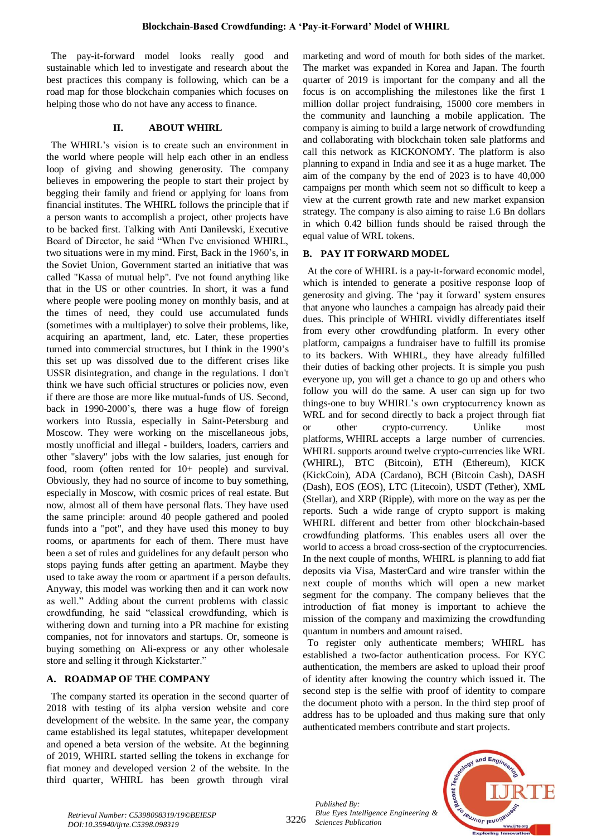The pay-it-forward model looks really good and sustainable which led to investigate and research about the best practices this company is following, which can be a road map for those blockchain companies which focuses on helping those who do not have any access to finance.

### **II. ABOUT WHIRL**

The WHIRL's vision is to create such an environment in the world where people will help each other in an endless loop of giving and showing generosity. The company believes in empowering the people to start their project by begging their family and friend or applying for loans from financial institutes. The WHIRL follows the principle that if a person wants to accomplish a project, other projects have to be backed first. Talking with Anti Danilevski, Executive Board of Director, he said "When I've envisioned WHIRL, two situations were in my mind. First, Back in the 1960's, in the Soviet Union, Government started an initiative that was called "Kassa of mutual help". I've not found anything like that in the US or other countries. In short, it was a fund where people were pooling money on monthly basis, and at the times of need, they could use accumulated funds (sometimes with a multiplayer) to solve their problems, like, acquiring an apartment, land, etc. Later, these properties turned into commercial structures, but I think in the 1990's this set up was dissolved due to the different crises like USSR disintegration, and change in the regulations. I don't think we have such official structures or policies now, even if there are those are more like mutual-funds of US. Second, back in 1990-2000's, there was a huge flow of foreign workers into Russia, especially in Saint-Petersburg and Moscow. They were working on the miscellaneous jobs, mostly unofficial and illegal - builders, loaders, carriers and other "slavery" jobs with the low salaries, just enough for food, room (often rented for 10+ people) and survival. Obviously, they had no source of income to buy something, especially in Moscow, with cosmic prices of real estate. But now, almost all of them have personal flats. They have used the same principle: around 40 people gathered and pooled funds into a "pot", and they have used this money to buy rooms, or apartments for each of them. There must have been a set of rules and guidelines for any default person who stops paying funds after getting an apartment. Maybe they used to take away the room or apartment if a person defaults. Anyway, this model was working then and it can work now as well." Adding about the current problems with classic crowdfunding, he said "classical crowdfunding, which is withering down and turning into a PR machine for existing companies, not for innovators and startups. Or, someone is buying something on Ali-express or any other wholesale store and selling it through Kickstarter."

# **A. ROADMAP OF THE COMPANY**

The company started its operation in the second quarter of 2018 with testing of its alpha version website and core development of the website. In the same year, the company came established its legal statutes, whitepaper development and opened a beta version of the website. At the beginning of 2019, WHIRL started selling the tokens in exchange for fiat money and developed version 2 of the website. In the third quarter, WHIRL has been growth through viral

marketing and word of mouth for both sides of the market. The market was expanded in Korea and Japan. The fourth quarter of 2019 is important for the company and all the focus is on accomplishing the milestones like the first 1 million dollar project fundraising, 15000 core members in the community and launching a mobile application. The company is aiming to build a large network of crowdfunding and collaborating with blockchain token sale platforms and call this network as KICKONOMY. The platform is also planning to expand in India and see it as a huge market. The aim of the company by the end of 2023 is to have 40,000 campaigns per month which seem not so difficult to keep a view at the current growth rate and new market expansion strategy. The company is also aiming to raise 1.6 Bn dollars in which 0.42 billion funds should be raised through the equal value of WRL tokens.

# **B. PAY IT FORWARD MODEL**

At the core of WHIRL is a pay-it-forward economic model, which is intended to generate a positive response loop of generosity and giving. The 'pay it forward' system ensures that anyone who launches a campaign has already paid their dues. This principle of WHIRL vividly differentiates itself from every other crowdfunding platform. In every other platform, campaigns a fundraiser have to fulfill its promise to its backers. With WHIRL, they have already fulfilled their duties of backing other projects. It is simple you push everyone up, you will get a chance to go up and others who follow you will do the same. A user can sign up for two things-one to buy WHIRL's own cryptocurrency known as WRL and for second directly to back a project through fiat or other crypto-currency. Unlike most platforms, [WHIRL](http://whirl.com/?source=post_page---------------------------) accepts a large number of currencies. WHIRL supports around twelve crypto-currencies like WRL (WHIRL), BTC (Bitcoin), ETH (Ethereum), KICK (KickCoin), ADA (Cardano), BCH (Bitcoin Cash), DASH (Dash), EOS (EOS), LTC (Litecoin), USDT (Tether), XML (Stellar), and XRP (Ripple), with more on the way as per the reports. Such a wide range of crypto support is making WHIRL different and better from other blockchain-based crowdfunding platforms. This enables users all over the world to access a broad cross-section of the cryptocurrencies. In the next couple of months, WHIRL is planning to add fiat deposits via Visa, MasterCard and wire transfer within the next couple of months which will open a new market segment for the company. The company believes that the introduction of fiat money is important to achieve the mission of the company and maximizing the crowdfunding quantum in numbers and amount raised.

To register only authenticate members; WHIRL has established a two-factor authentication process. For KYC authentication, the members are asked to upload their proof of identity after knowing the country which issued it. The second step is the selfie with proof of identity to compare the document photo with a person. In the third step proof of address has to be uploaded and thus making sure that only authenticated members contribute and start projects.

*Published By: Blue Eyes Intelligence Engineering & Sciences Publication* 



3226 *Retrieval Number: C5398098319/19©BEIESP DOI:10.35940/ijrte.C5398.098319*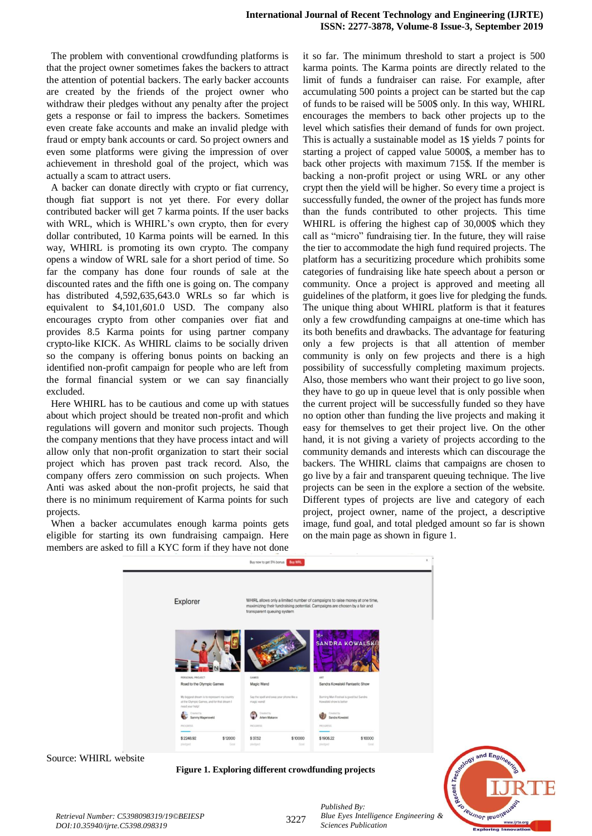The problem with conventional crowdfunding platforms is that the project owner sometimes fakes the backers to attract the attention of potential backers. The early backer accounts are created by the friends of the project owner who withdraw their pledges without any penalty after the project gets a response or fail to impress the backers. Sometimes even create fake accounts and make an invalid pledge with fraud or empty bank accounts or card. So project owners and even some platforms were giving the impression of over achievement in threshold goal of the project, which was actually a scam to attract users.

A backer can donate directly with crypto or fiat currency, though fiat support is not yet there. For every dollar contributed backer will get 7 karma points. If the user backs with WRL, which is WHIRL's own crypto, then for every dollar contributed, 10 Karma points will be earned. In this way, WHIRL is promoting its own crypto. The company opens a window of WRL sale for a short period of time. So far the company has done four rounds of sale at the discounted rates and the fifth one is going on. The company has distributed 4,592,635,643.0 WRLs so far which is equivalent to \$4,101,601.0 USD. The company also encourages crypto from other companies over fiat and provides 8.5 Karma points for using partner company crypto-like KICK. As WHIRL claims to be socially driven so the company is offering bonus points on backing an identified non-profit campaign for people who are left from the formal financial system or we can say financially excluded.

Here WHIRL has to be cautious and come up with statues about which project should be treated non-profit and which regulations will govern and monitor such projects. Though the company mentions that they have process intact and will allow only that non-profit organization to start their social project which has proven past track record. Also, the company offers zero commission on such projects. When Anti was asked about the non-profit projects, he said that there is no minimum requirement of Karma points for such projects.

When a backer accumulates enough karma points gets eligible for starting its own fundraising campaign. Here members are asked to fill a KYC form if they have not done it so far. The minimum threshold to start a project is 500 karma points. The Karma points are directly related to the limit of funds a fundraiser can raise. For example, after accumulating 500 points a project can be started but the cap of funds to be raised will be 500\$ only. In this way, WHIRL encourages the members to back other projects up to the level which satisfies their demand of funds for own project. This is actually a sustainable model as 1\$ yields 7 points for starting a project of capped value 5000\$, a member has to back other projects with maximum 715\$. If the member is backing a non-profit project or using WRL or any other crypt then the yield will be higher. So every time a project is successfully funded, the owner of the project has funds more than the funds contributed to other projects. This time WHIRL is offering the highest cap of 30,000\$ which they call as "micro" fundraising tier. In the future, they will raise the tier to accommodate the high fund required projects. The platform has a securitizing procedure which prohibits some categories of fundraising like hate speech about a person or community. Once a project is approved and meeting all guidelines of the platform, it goes live for pledging the funds. The unique thing about WHIRL platform is that it features only a few crowdfunding campaigns at one-time which has its both benefits and drawbacks. The advantage for featuring only a few projects is that all attention of member community is only on few projects and there is a high possibility of successfully completing maximum projects. Also, those members who want their project to go live soon, they have to go up in queue level that is only possible when the current project will be successfully funded so they have no option other than funding the live projects and making it easy for themselves to get their project live. On the other hand, it is not giving a variety of projects according to the community demands and interests which can discourage the backers. The WHIRL claims that campaigns are chosen to go live by a fair and transparent queuing technique. The live projects can be seen in the explore a section of the website. Different types of projects are live and category of each project, project owner, name of the project, a descriptive image, fund goal, and total pledged amount so far is shown on the main page as shown in figure 1.



Source: WHIRL website

**Figure 1. Exploring different crowdfunding projects**



*Published By:*

*Sciences Publication*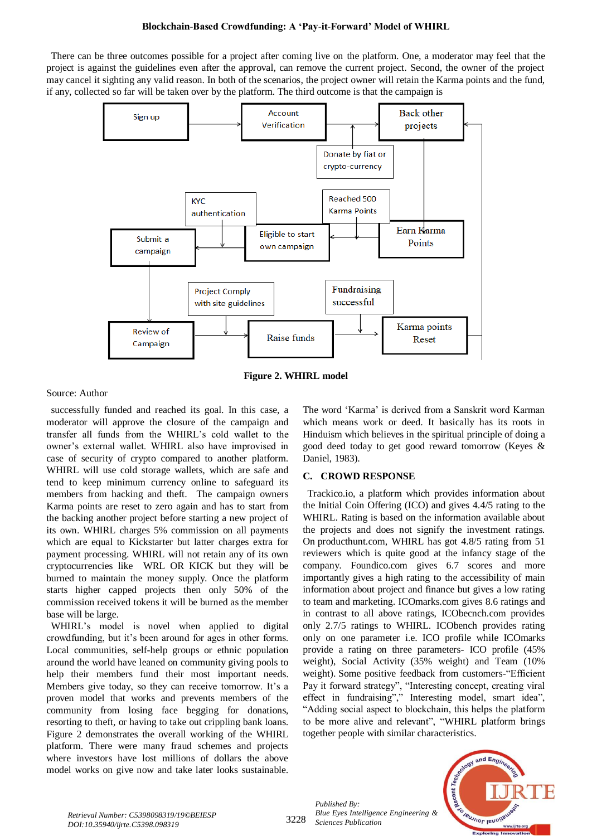# **Blockchain-Based Crowdfunding: A 'Pay-it-Forward' Model of WHIRL**

There can be three outcomes possible for a project after coming live on the platform. One, a moderator may feel that the project is against the guidelines even after the approval, can remove the current project. Second, the owner of the project may cancel it sighting any valid reason. In both of the scenarios, the project owner will retain the Karma points and the fund, if any, collected so far will be taken over by the platform. The third outcome is that the campaign is



**Figure 2. WHIRL model**

Source: Author

successfully funded and reached its goal. In this case, a moderator will approve the closure of the campaign and transfer all funds from the WHIRL's cold wallet to the owner's external wallet. WHIRL also have improvised in case of security of crypto compared to another platform. WHIRL will use cold storage wallets, which are safe and tend to keep minimum currency online to safeguard its members from hacking and theft. The campaign owners Karma points are reset to zero again and has to start from the backing another project before starting a new project of its own. WHIRL charges 5% commission on all payments which are equal to Kickstarter but latter charges extra for payment processing. WHIRL will not retain any of its own cryptocurrencies like WRL OR KICK but they will be burned to maintain the money supply. Once the platform starts higher capped projects then only 50% of the commission received tokens it will be burned as the member base will be large.

WHIRL's model is novel when applied to digital crowdfunding, but it's been around for ages in other forms. Local communities, self-help groups or ethnic population around the world have leaned on community giving pools to help their members fund their most important needs. Members give today, so they can receive tomorrow. It's a proven model that works and prevents members of the community from losing face begging for donations, resorting to theft, or having to take out crippling bank loans. Figure 2 demonstrates the overall working of the WHIRL platform. There were many fraud schemes and projects where investors have lost millions of dollars the above model works on give now and take later looks sustainable. The word 'Karma' is derived from a Sanskrit word Karman which means work or deed. It basically has its roots in Hinduism which believes in the spiritual principle of doing a good deed today to get good reward tomorrow (Keyes & Daniel, 1983).

# **C. CROWD RESPONSE**

Trackico.io, a platform which provides information about the Initial Coin Offering (ICO) and gives 4.4/5 rating to the WHIRL. Rating is based on the information available about the projects and does not signify the investment ratings. On producthunt.com, WHIRL has got 4.8/5 rating from 51 reviewers which is quite good at the infancy stage of the company. Foundico.com gives 6.7 scores and more importantly gives a high rating to the accessibility of main information about project and finance but gives a low rating to team and marketing. ICOmarks.com gives 8.6 ratings and in contrast to all above ratings, ICObecnch.com provides only 2.7/5 ratings to WHIRL. ICObench provides rating only on one parameter i.e. ICO profile while ICOmarks provide a rating on three parameters- ICO profile (45% weight), Social Activity (35% weight) and Team (10% weight). Some positive feedback from customers-"Efficient Pay it forward strategy", "Interesting concept, creating viral effect in fundraising"," Interesting model, smart idea", "Adding social aspect to blockchain, this helps the platform to be more alive and relevant", "WHIRL platform brings together people with similar characteristics.



and Eng

*Published By:*